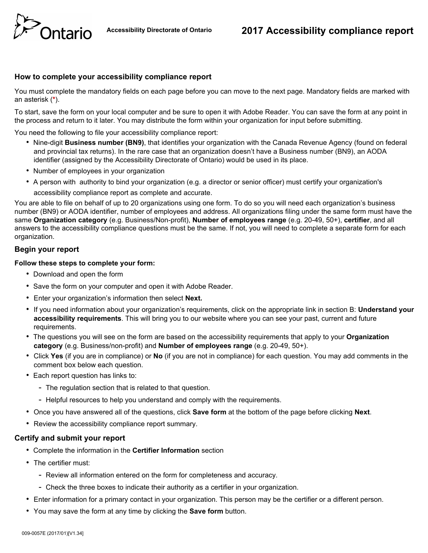

# **How to complete your accessibility compliance report**

You must complete the mandatory fields on each page before you can move to the next page. Mandatory fields are marked with an asterisk (**\***).

To start, save the form on your local computer and be sure to open it with Adobe Reader. You can save the form at any point in the process and return to it later. You may distribute the form within your organization for input before submitting.

You need the following to file your accessibility compliance report:

- Nine-digit **Business number (BN9)**, that identifies your organization with the Canada Revenue Agency (found on federal and provincial tax returns). In the rare case that an organization doesn't have a Business number (BN9), an AODA identifier (assigned by the Accessibility Directorate of Ontario) would be used in its place.
- Number of employees in your organization
- A person with authority to bind your organization (e.g. a director or senior officer) must certify your organization's

accessibility compliance report as complete and accurate.

You are able to file on behalf of up to 20 organizations using one form. To do so you will need each organization's business number (BN9) or AODA identifier, number of employees and address. All organizations filing under the same form must have the same **Organization category** (e.g. Business/Non-profit), **Number of employees range** (e.g. 20-49, 50+), **certifier**, and all answers to the accessibility compliance questions must be the same. If not, you will need to complete a separate form for each organization.

# **Begin your report**

### **Follow these steps to complete your form:**

- Download and open the form
- Save the form on your computer and open it with Adobe Reader.
- Enter your organization's information then select **Next.**
- If you need information about your organization's requirements, click on the appropriate link in section B: **Understand your accessibility requirements**. This will bring you to our website where you can see your past, current and future requirements.
- The questions you will see on the form are based on the accessibility requirements that apply to your **Organization category** (e.g. Business/non-profit) and **Number of employees range** (e.g. 20-49, 50+).
- Click **Yes** (if you are in compliance) or **No** (if you are not in compliance) for each question. You may add comments in the comment box below each question.
- Each report question has links to:
	- The regulation section that is related to that question.
	- Helpful resources to help you understand and comply with the requirements.
- Once you have answered all of the questions, click **Save form** at the bottom of the page before clicking **Next**.
- Review the accessibility compliance report summary.

### **Certify and submit your report**

- Complete the information in the **Certifier Information** section
- The certifier must:
	- Review all information entered on the form for completeness and accuracy.
	- Check the three boxes to indicate their authority as a certifier in your organization.
- Enter information for a primary contact in your organization. This person may be the certifier or a different person.
- You may save the form at any time by clicking the **Save form** button.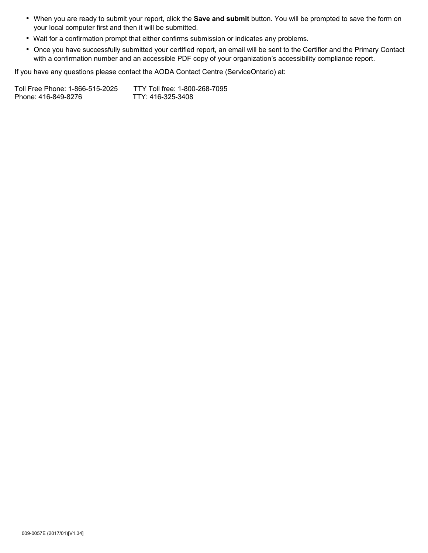- When you are ready to submit your report, click the **Save and submit** button. You will be prompted to save the form on your local computer first and then it will be submitted.
- Wait for a confirmation prompt that either confirms submission or indicates any problems.
- Once you have successfully submitted your certified report, an email will be sent to the Certifier and the Primary Contact with a confirmation number and an accessible PDF copy of your organization's accessibility compliance report.

If you have any questions please contact the AODA Contact Centre (ServiceOntario) at:

Toll Free Phone: 1-866-515-2025 TTY Toll free: 1-800-268-7095<br>Phone: 416-849-8276 TTY: 416-325-3408 Phone: 416-849-8276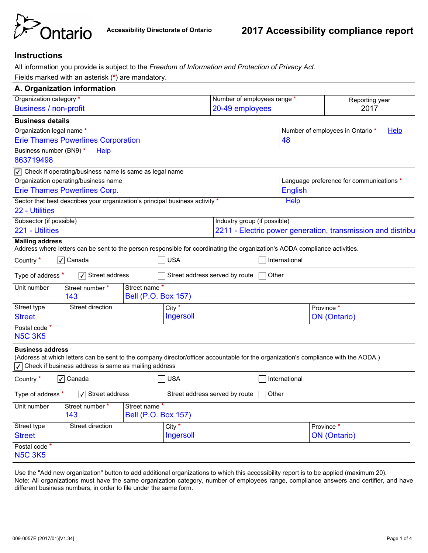

# **Instructions**

All information you provide is subject to the *Freedom of Information and Protection of Privacy Act.*

Fields marked with an asterisk (**\***) are mandatory.

| A. Organization information     |                                                                                                                             |                                             |                                |                                                             |               |                                                                                                                                     |  |  |  |
|---------------------------------|-----------------------------------------------------------------------------------------------------------------------------|---------------------------------------------|--------------------------------|-------------------------------------------------------------|---------------|-------------------------------------------------------------------------------------------------------------------------------------|--|--|--|
| Organization category *         |                                                                                                                             |                                             |                                | Number of employees range *                                 |               | Reporting year                                                                                                                      |  |  |  |
| <b>Business / non-profit</b>    |                                                                                                                             |                                             | 20-49 employees<br>2017        |                                                             |               |                                                                                                                                     |  |  |  |
| <b>Business details</b>         |                                                                                                                             |                                             |                                |                                                             |               |                                                                                                                                     |  |  |  |
| Organization legal name *       |                                                                                                                             |                                             |                                |                                                             |               | Number of employees in Ontario*<br><b>Help</b>                                                                                      |  |  |  |
|                                 | <b>Erie Thames Powerlines Corporation</b>                                                                                   |                                             |                                |                                                             | 48            |                                                                                                                                     |  |  |  |
| Business number (BN9)*          | Help                                                                                                                        |                                             |                                |                                                             |               |                                                                                                                                     |  |  |  |
| 863719498                       |                                                                                                                             |                                             |                                |                                                             |               |                                                                                                                                     |  |  |  |
|                                 | $\sqrt{\sqrt{ }}$ Check if operating/business name is same as legal name                                                    |                                             |                                |                                                             |               |                                                                                                                                     |  |  |  |
|                                 | Organization operating/business name                                                                                        |                                             |                                | Language preference for communications *                    |               |                                                                                                                                     |  |  |  |
|                                 | Erie Thames Powerlines Corp.                                                                                                |                                             |                                |                                                             |               | <b>English</b>                                                                                                                      |  |  |  |
| 22 - Utilities                  | Sector that best describes your organization's principal business activity *                                                |                                             |                                |                                                             | Help          |                                                                                                                                     |  |  |  |
| Subsector (if possible)         |                                                                                                                             |                                             |                                | Industry group (if possible)                                |               |                                                                                                                                     |  |  |  |
| 221 - Utilities                 |                                                                                                                             |                                             |                                | 2211 - Electric power generation, transmission and distribu |               |                                                                                                                                     |  |  |  |
| <b>Mailing address</b>          |                                                                                                                             |                                             |                                |                                                             |               |                                                                                                                                     |  |  |  |
|                                 | Address where letters can be sent to the person responsible for coordinating the organization's AODA compliance activities. |                                             |                                |                                                             |               |                                                                                                                                     |  |  |  |
| Country *                       | $\sqrt{\phantom{a}}$ Canada                                                                                                 |                                             | <b>USA</b>                     |                                                             | International |                                                                                                                                     |  |  |  |
| Type of address *               | $\sqrt{\phantom{a}}$ Street address                                                                                         |                                             | Street address served by route |                                                             | Other         |                                                                                                                                     |  |  |  |
| Unit number                     | Street number *<br>143                                                                                                      | Street name *<br><b>Bell (P.O. Box 157)</b> |                                |                                                             |               |                                                                                                                                     |  |  |  |
| Street type                     | Street direction                                                                                                            |                                             | City $*$                       |                                                             |               | Province *                                                                                                                          |  |  |  |
| <b>Street</b>                   |                                                                                                                             |                                             | Ingersoll                      |                                                             |               | <b>ON</b> (Ontario)                                                                                                                 |  |  |  |
| Postal code *<br><b>N5C 3K5</b> |                                                                                                                             |                                             |                                |                                                             |               |                                                                                                                                     |  |  |  |
| <b>Business address</b>         | Check if business address is same as mailing address                                                                        |                                             |                                |                                                             |               | (Address at which letters can be sent to the company director/officer accountable for the organization's compliance with the AODA.) |  |  |  |
| Country *                       | √ Canada                                                                                                                    |                                             | <b>USA</b>                     |                                                             | International |                                                                                                                                     |  |  |  |
| Type of address *               | $\sqrt{\phantom{a}}$ Street address                                                                                         | $\overline{\phantom{a}}$                    | Street address served by route |                                                             | Other         |                                                                                                                                     |  |  |  |
| Unit number                     | Street number *<br>143                                                                                                      | Street name*<br><b>Bell (P.O. Box 157)</b>  |                                |                                                             |               |                                                                                                                                     |  |  |  |
| Street type                     | <b>Street direction</b>                                                                                                     |                                             | $\overline{\text{City}}$       |                                                             |               | Province *                                                                                                                          |  |  |  |
| <b>Street</b>                   |                                                                                                                             |                                             | Ingersoll                      |                                                             |               | <b>ON</b> (Ontario)                                                                                                                 |  |  |  |
| Postal code *<br><b>N5C 3K5</b> |                                                                                                                             |                                             |                                |                                                             |               |                                                                                                                                     |  |  |  |

Use the "Add new organization" button to add additional organizations to which this accessibility report is to be applied (maximum 20). Note: All organizations must have the same organization category, number of employees range, compliance answers and certifier, and have different business numbers, in order to file under the same form.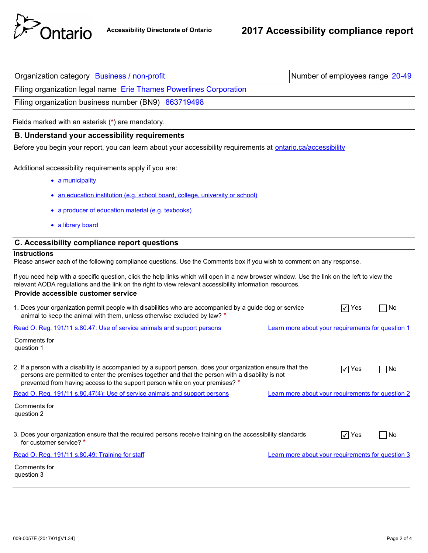

| Organization category Business / non-profit                                                                                                                                                                                                                                                       | Number of employees range 20-49                   |
|---------------------------------------------------------------------------------------------------------------------------------------------------------------------------------------------------------------------------------------------------------------------------------------------------|---------------------------------------------------|
| Filing organization legal name Erie Thames Powerlines Corporation                                                                                                                                                                                                                                 |                                                   |
| Filing organization business number (BN9) 863719498                                                                                                                                                                                                                                               |                                                   |
| Fields marked with an asterisk (*) are mandatory.                                                                                                                                                                                                                                                 |                                                   |
| <b>B. Understand your accessibility requirements</b>                                                                                                                                                                                                                                              |                                                   |
| Before you begin your report, you can learn about your accessibility requirements at ontario.ca/accessibility                                                                                                                                                                                     |                                                   |
| Additional accessibility requirements apply if you are:<br>• a municipality                                                                                                                                                                                                                       |                                                   |
| • an education institution (e.g. school board, college, university or school)                                                                                                                                                                                                                     |                                                   |
| • a producer of education material (e.g. texbooks)                                                                                                                                                                                                                                                |                                                   |
| · a library board                                                                                                                                                                                                                                                                                 |                                                   |
| C. Accessibility compliance report questions                                                                                                                                                                                                                                                      |                                                   |
| <b>Instructions</b><br>Please answer each of the following compliance questions. Use the Comments box if you wish to comment on any response.                                                                                                                                                     |                                                   |
| If you need help with a specific question, click the help links which will open in a new browser window. Use the link on the left to view the<br>relevant AODA regulations and the link on the right to view relevant accessibility information resources.<br>Provide accessible customer service |                                                   |
| 1. Does your organization permit people with disabilities who are accompanied by a guide dog or service<br>animal to keep the animal with them, unless otherwise excluded by law? *                                                                                                               | $\sqrt{}$ Yes<br>No                               |
| Read O. Reg. 191/11 s.80.47: Use of service animals and support persons                                                                                                                                                                                                                           | Learn more about your requirements for question 1 |
| Comments for<br>question 1                                                                                                                                                                                                                                                                        |                                                   |
| 2. If a person with a disability is accompanied by a support person, does your organization ensure that the<br>persons are permitted to enter the premises together and that the person with a disability is not<br>prevented from having access to the support person while on your premises? *  | √   Yes<br>No                                     |
| Read O. Reg. 191/11 s.80.47(4): Use of service animals and support persons                                                                                                                                                                                                                        | Learn more about your requirements for question 2 |
| Comments for<br>question 2                                                                                                                                                                                                                                                                        |                                                   |
| 3. Does your organization ensure that the required persons receive training on the accessibility standards<br>for customer service? *                                                                                                                                                             | $\sqrt{}$ Yes<br>∣No                              |
| Read O. Reg. 191/11 s.80.49: Training for staff                                                                                                                                                                                                                                                   | Learn more about your requirements for question 3 |
| Comments for<br>question 3                                                                                                                                                                                                                                                                        |                                                   |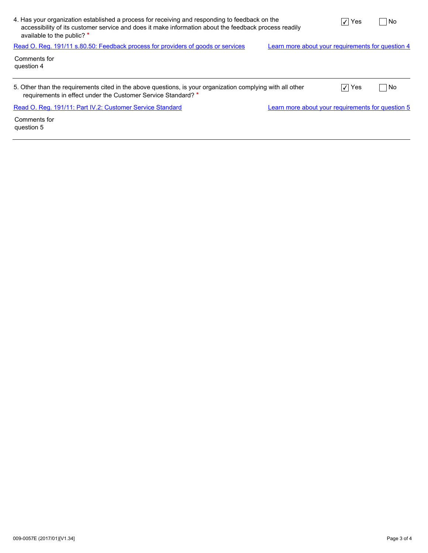| 4. Has your organization established a process for receiving and responding to feedback on the<br>accessibility of its customer service and does it make information about the feedback process readily<br>available to the public? * |                                                   | √   Yes   | ∣No |
|---------------------------------------------------------------------------------------------------------------------------------------------------------------------------------------------------------------------------------------|---------------------------------------------------|-----------|-----|
| Read O. Reg. 191/11 s.80.50: Feedback process for providers of goods or services                                                                                                                                                      | Learn more about your requirements for question 4 |           |     |
| Comments for<br>question 4                                                                                                                                                                                                            |                                                   |           |     |
| 5. Other than the requirements cited in the above questions, is your organization complying with all other<br>requirements in effect under the Customer Service Standard? *                                                           |                                                   | $ V $ Yes | No. |
| Read O. Reg. 191/11: Part IV.2: Customer Service Standard                                                                                                                                                                             | Learn more about your requirements for question 5 |           |     |
| Comments for                                                                                                                                                                                                                          |                                                   |           |     |